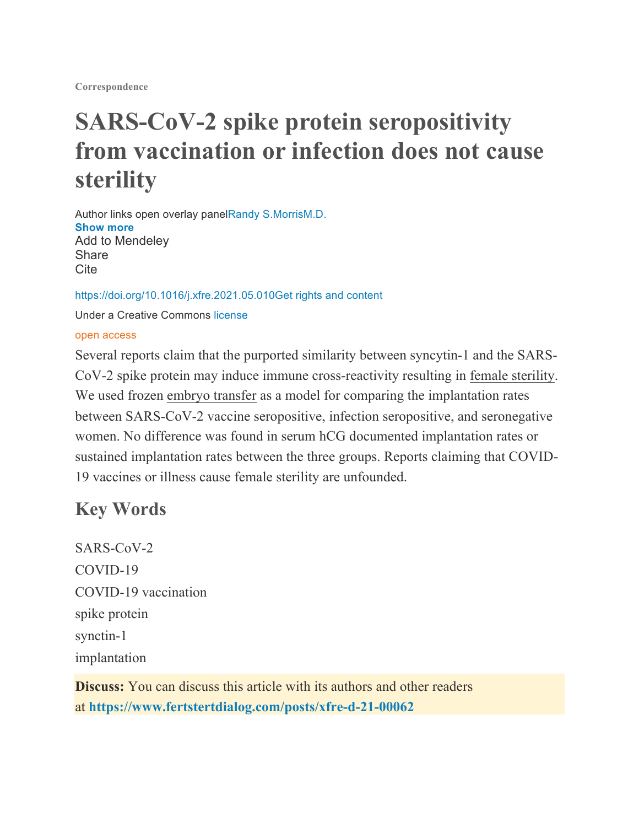**Correspondence**

# **SARS-CoV-2 spike protein seropositivity from vaccination or infection does not cause sterility**

Author links open overlay panelRandy S.MorrisM.D. **Show more** Add to Mendeley **Share** Cite

https://doi.org/10.1016/j.xfre.2021.05.010Get rights and content

Under a Creative Commons license

#### open access

Several reports claim that the purported similarity between syncytin-1 and the SARS-CoV-2 spike protein may induce immune cross-reactivity resulting in female sterility. We used frozen embryo transfer as a model for comparing the implantation rates between SARS-CoV-2 vaccine seropositive, infection seropositive, and seronegative women. No difference was found in serum hCG documented implantation rates or sustained implantation rates between the three groups. Reports claiming that COVID-19 vaccines or illness cause female sterility are unfounded.

#### **Key Words**

SARS-CoV-2 COVID-19 COVID-19 vaccination spike protein synctin-1 implantation

**Discuss:** You can discuss this article with its authors and other readers at **https://www.fertstertdialog.com/posts/xfre-d-21-00062**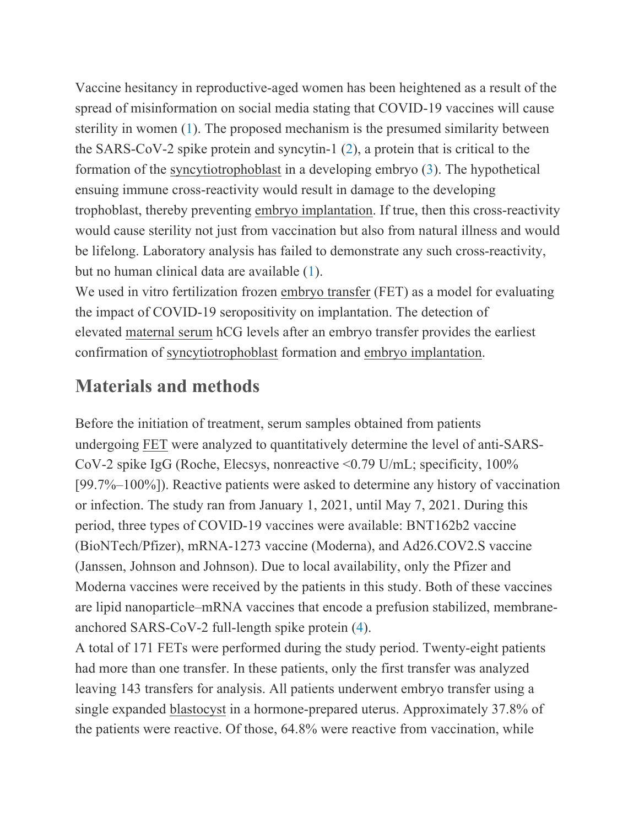Vaccine hesitancy in reproductive-aged women has been heightened as a result of the spread of misinformation on social media stating that COVID-19 vaccines will cause sterility in women (1). The proposed mechanism is the presumed similarity between the SARS-CoV-2 spike protein and syncytin-1 (2), a protein that is critical to the formation of the syncytiotrophoblast in a developing embryo (3). The hypothetical ensuing immune cross-reactivity would result in damage to the developing trophoblast, thereby preventing embryo implantation. If true, then this cross-reactivity would cause sterility not just from vaccination but also from natural illness and would be lifelong. Laboratory analysis has failed to demonstrate any such cross-reactivity, but no human clinical data are available (1).

We used in vitro fertilization frozen embryo transfer (FET) as a model for evaluating the impact of COVID-19 seropositivity on implantation. The detection of elevated maternal serum hCG levels after an embryo transfer provides the earliest confirmation of syncytiotrophoblast formation and embryo implantation.

### **Materials and methods**

Before the initiation of treatment, serum samples obtained from patients undergoing FET were analyzed to quantitatively determine the level of anti-SARS-CoV-2 spike IgG (Roche, Elecsys, nonreactive <0.79 U/mL; specificity, 100% [99.7%–100%]). Reactive patients were asked to determine any history of vaccination or infection. The study ran from January 1, 2021, until May 7, 2021. During this period, three types of COVID-19 vaccines were available: BNT162b2 vaccine (BioNTech/Pfizer), mRNA-1273 vaccine (Moderna), and Ad26.COV2.S vaccine (Janssen, Johnson and Johnson). Due to local availability, only the Pfizer and Moderna vaccines were received by the patients in this study. Both of these vaccines are lipid nanoparticle–mRNA vaccines that encode a prefusion stabilized, membraneanchored SARS-CoV-2 full-length spike protein (4).

A total of 171 FETs were performed during the study period. Twenty-eight patients had more than one transfer. In these patients, only the first transfer was analyzed leaving 143 transfers for analysis. All patients underwent embryo transfer using a single expanded blastocyst in a hormone-prepared uterus. Approximately 37.8% of the patients were reactive. Of those, 64.8% were reactive from vaccination, while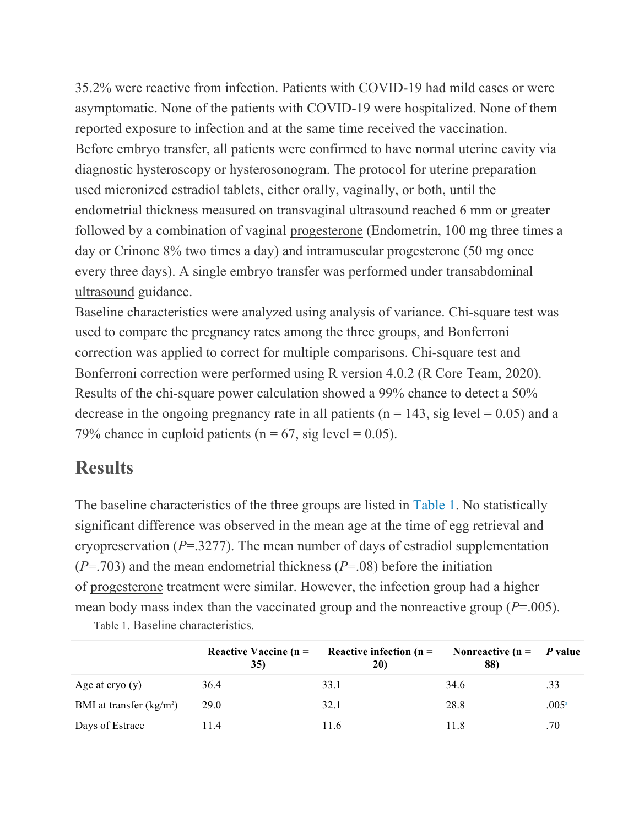35.2% were reactive from infection. Patients with COVID-19 had mild cases or were asymptomatic. None of the patients with COVID-19 were hospitalized. None of them reported exposure to infection and at the same time received the vaccination. Before embryo transfer, all patients were confirmed to have normal uterine cavity via diagnostic hysteroscopy or hysterosonogram. The protocol for uterine preparation used micronized estradiol tablets, either orally, vaginally, or both, until the endometrial thickness measured on transvaginal ultrasound reached 6 mm or greater followed by a combination of vaginal progesterone (Endometrin, 100 mg three times a day or Crinone 8% two times a day) and intramuscular progesterone (50 mg once every three days). A single embryo transfer was performed under transabdominal ultrasound guidance.

Baseline characteristics were analyzed using analysis of variance. Chi-square test was used to compare the pregnancy rates among the three groups, and Bonferroni correction was applied to correct for multiple comparisons. Chi-square test and Bonferroni correction were performed using R version 4.0.2 (R Core Team, 2020). Results of the chi-square power calculation showed a 99% chance to detect a 50% decrease in the ongoing pregnancy rate in all patients ( $n = 143$ , sig level = 0.05) and a 79% chance in euploid patients ( $n = 67$ , sig level = 0.05).

#### **Results**

The baseline characteristics of the three groups are listed in Table 1. No statistically significant difference was observed in the mean age at the time of egg retrieval and cryopreservation (*P*=.3277). The mean number of days of estradiol supplementation (*P*=.703) and the mean endometrial thickness (*P*=.08) before the initiation of progesterone treatment were similar. However, the infection group had a higher mean body mass index than the vaccinated group and the nonreactive group (*P*=.005).

|                           | Reactive Vaccine $(n =$<br>35) | Reactive infection ( $n =$<br>20) | Nonreactive ( $n = P$ value<br>88) |                |
|---------------------------|--------------------------------|-----------------------------------|------------------------------------|----------------|
| Age at $\text{cty}_0(y)$  | 36.4                           | 33.1                              | 34.6                               | .33            |
| BMI at transfer $(kg/m2)$ | 29.0                           | 32.1                              | 28.8                               | $.005^{\circ}$ |
| Days of Estrace           | 11.4                           | 11.6                              | 11.8                               | .70            |

Table 1. Baseline characteristics.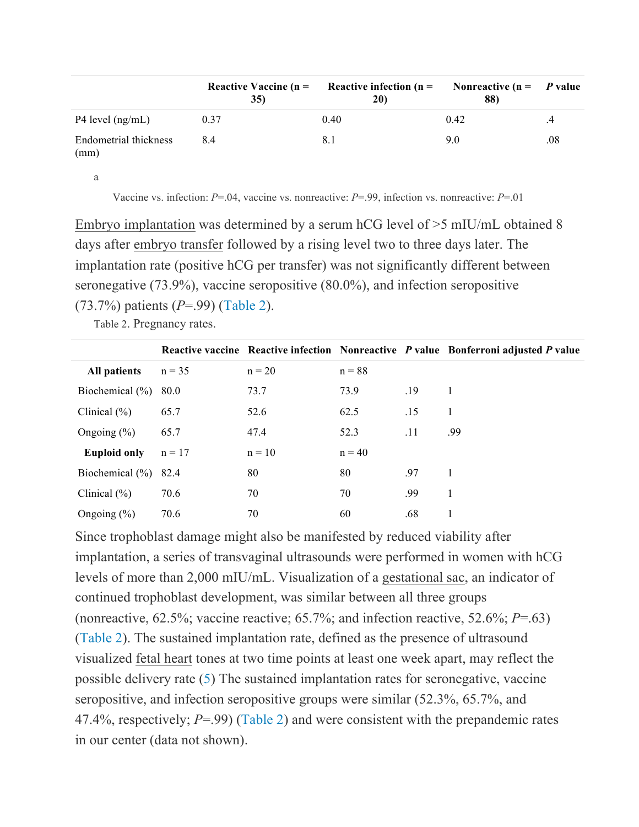|                               | <b>35)</b> | Reactive Vaccine $(n =$ Reactive infection $(n =$<br>20) | Nonreactive ( $n = P$ value<br>88) |               |
|-------------------------------|------------|----------------------------------------------------------|------------------------------------|---------------|
| P4 level $(ng/mL)$            | 0.37       | 0.40                                                     | 0.42                               | $\mathcal{A}$ |
| Endometrial thickness<br>(mm) | 84         | 8.1                                                      | 9.0                                | .08           |

a

Vaccine vs. infection: *P*=.04, vaccine vs. nonreactive: *P*=.99, infection vs. nonreactive: *P*=.01

Embryo implantation was determined by a serum hCG level of >5 mIU/mL obtained 8 days after embryo transfer followed by a rising level two to three days later. The implantation rate (positive hCG per transfer) was not significantly different between seronegative (73.9%), vaccine seropositive (80.0%), and infection seropositive (73.7%) patients (*P*=.99) (Table 2).

Table 2. Pregnancy rates.

|                     |          |          |          |     | Reactive vaccine Reactive infection Nonreactive P value Bonferroni adjusted P value |
|---------------------|----------|----------|----------|-----|-------------------------------------------------------------------------------------|
| All patients        | $n = 35$ | $n = 20$ | $n = 88$ |     |                                                                                     |
| Biochemical $(\% )$ | 80.0     | 73.7     | 73.9     | .19 |                                                                                     |
| Clinical $(\% )$    | 65.7     | 52.6     | 62.5     | .15 |                                                                                     |
| Ongoing $(\%)$      | 65.7     | 47.4     | 52.3     | .11 | .99                                                                                 |
| <b>Euploid only</b> | $n = 17$ | $n = 10$ | $n = 40$ |     |                                                                                     |
| Biochemical $(\% )$ | 82.4     | 80       | 80       | .97 |                                                                                     |
| Clinical $(\% )$    | 70.6     | 70       | 70       | .99 |                                                                                     |
| Ongoing $(\%)$      | 70.6     | 70       | 60       | .68 |                                                                                     |

Since trophoblast damage might also be manifested by reduced viability after implantation, a series of transvaginal ultrasounds were performed in women with hCG levels of more than 2,000 mIU/mL. Visualization of a gestational sac, an indicator of continued trophoblast development, was similar between all three groups (nonreactive, 62.5%; vaccine reactive; 65.7%; and infection reactive, 52.6%; *P*=.63) (Table 2). The sustained implantation rate, defined as the presence of ultrasound visualized fetal heart tones at two time points at least one week apart, may reflect the possible delivery rate (5) The sustained implantation rates for seronegative, vaccine seropositive, and infection seropositive groups were similar (52.3%, 65.7%, and 47.4%, respectively; *P*=.99) (Table 2) and were consistent with the prepandemic rates in our center (data not shown).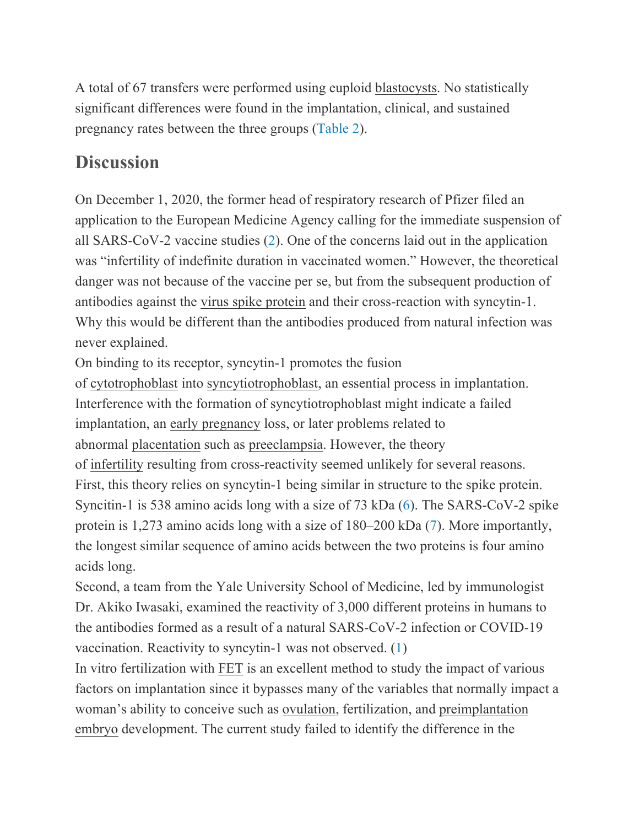A total of 67 transfers were performed using euploid blastocysts. No statistically significant differences were found in the implantation, clinical, and sustained pregnancy rates between the three groups (Table 2).

### **Discussion**

On December 1, 2020, the former head of respiratory research of Pfizer filed an application to the European Medicine Agency calling for the immediate suspension of all SARS-CoV-2 vaccine studies (2). One of the concerns laid out in the application was "infertility of indefinite duration in vaccinated women." However, the theoretical danger was not because of the vaccine per se, but from the subsequent production of antibodies against the virus spike protein and their cross-reaction with syncytin-1. Why this would be different than the antibodies produced from natural infection was never explained.

On binding to its receptor, syncytin-1 promotes the fusion

of cytotrophoblast into syncytiotrophoblast, an essential process in implantation. Interference with the formation of syncytiotrophoblast might indicate a failed implantation, an early pregnancy loss, or later problems related to abnormal placentation such as preeclampsia. However, the theory of infertility resulting from cross-reactivity seemed unlikely for several reasons. First, this theory relies on syncytin-1 being similar in structure to the spike protein. Syncitin-1 is 538 amino acids long with a size of 73 kDa (6). The SARS-CoV-2 spike protein is 1,273 amino acids long with a size of 180–200 kDa (7). More importantly, the longest similar sequence of amino acids between the two proteins is four amino acids long.

Second, a team from the Yale University School of Medicine, led by immunologist Dr. Akiko Iwasaki, examined the reactivity of 3,000 different proteins in humans to the antibodies formed as a result of a natural SARS-CoV-2 infection or COVID-19 vaccination. Reactivity to syncytin-1 was not observed. (1)

In vitro fertilization with FET is an excellent method to study the impact of various factors on implantation since it bypasses many of the variables that normally impact a woman's ability to conceive such as ovulation, fertilization, and preimplantation embryo development. The current study failed to identify the difference in the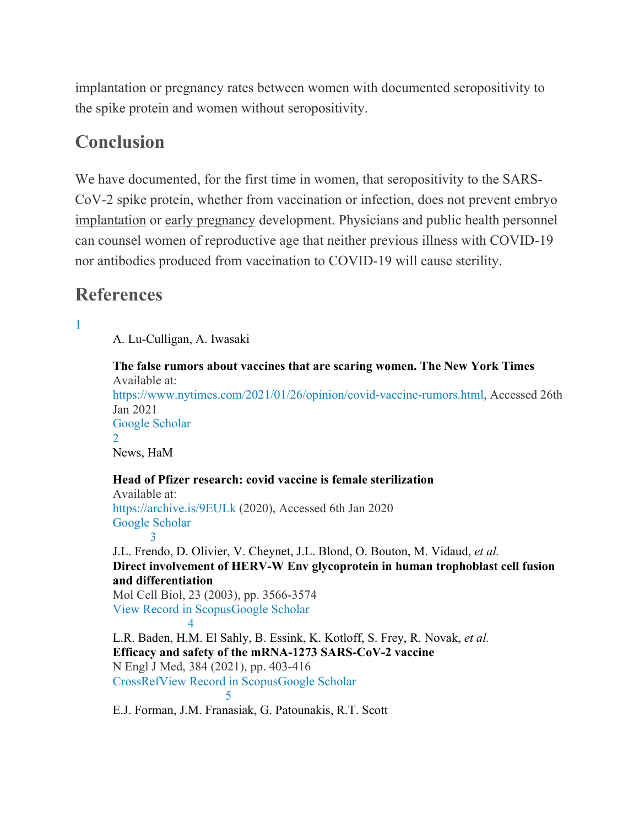implantation or pregnancy rates between women with documented seropositivity to the spike protein and women without seropositivity.

#### **Conclusion**

We have documented, for the first time in women, that seropositivity to the SARS-CoV-2 spike protein, whether from vaccination or infection, does not prevent embryo implantation or early pregnancy development. Physicians and public health personnel can counsel women of reproductive age that neither previous illness with COVID-19 nor antibodies produced from vaccination to COVID-19 will cause sterility.

#### **References**

1

A. Lu-Culligan, A. Iwasaki

**The false rumors about vaccines that are scaring women. The New York Times** Available at: https://www.nytimes.com/2021/01/26/opinion/covid-vaccine-rumors.html, Accessed 26th Jan 2021 Google Scholar 2 News, HaM **Head of Pfizer research: covid vaccine is female sterilization** Available at: https://archive.is/9EULk (2020), Accessed 6th Jan 2020 Google Scholar 3 J.L. Frendo, D. Olivier, V. Cheynet, J.L. Blond, O. Bouton, M. Vidaud, *et al.* **Direct involvement of HERV-W Env glycoprotein in human trophoblast cell fusion and differentiation** Mol Cell Biol, 23 (2003), pp. 3566-3574 View Record in ScopusGoogle Scholar 4

L.R. Baden, H.M. El Sahly, B. Essink, K. Kotloff, S. Frey, R. Novak, *et al.* **Efficacy and safety of the mRNA-1273 SARS-CoV-2 vaccine** N Engl J Med, 384 (2021), pp. 403-416 CrossRefView Record in ScopusGoogle Scholar 5

E.J. Forman, J.M. Franasiak, G. Patounakis, R.T. Scott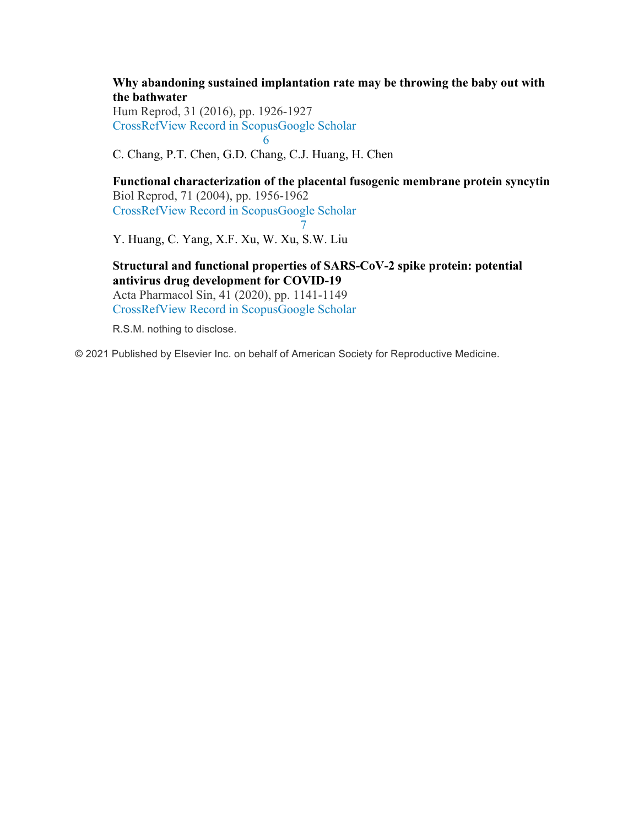**Why abandoning sustained implantation rate may be throwing the baby out with the bathwater**

Hum Reprod, 31 (2016), pp. 1926-1927 CrossRefView Record in ScopusGoogle Scholar 6

C. Chang, P.T. Chen, G.D. Chang, C.J. Huang, H. Chen

**Functional characterization of the placental fusogenic membrane protein syncytin** Biol Reprod, 71 (2004), pp. 1956-1962 CrossRefView Record in ScopusGoogle Scholar 7

Y. Huang, C. Yang, X.F. Xu, W. Xu, S.W. Liu

**Structural and functional properties of SARS-CoV-2 spike protein: potential antivirus drug development for COVID-19** Acta Pharmacol Sin, 41 (2020), pp. 1141-1149

CrossRefView Record in ScopusGoogle Scholar

R.S.M. nothing to disclose.

© 2021 Published by Elsevier Inc. on behalf of American Society for Reproductive Medicine.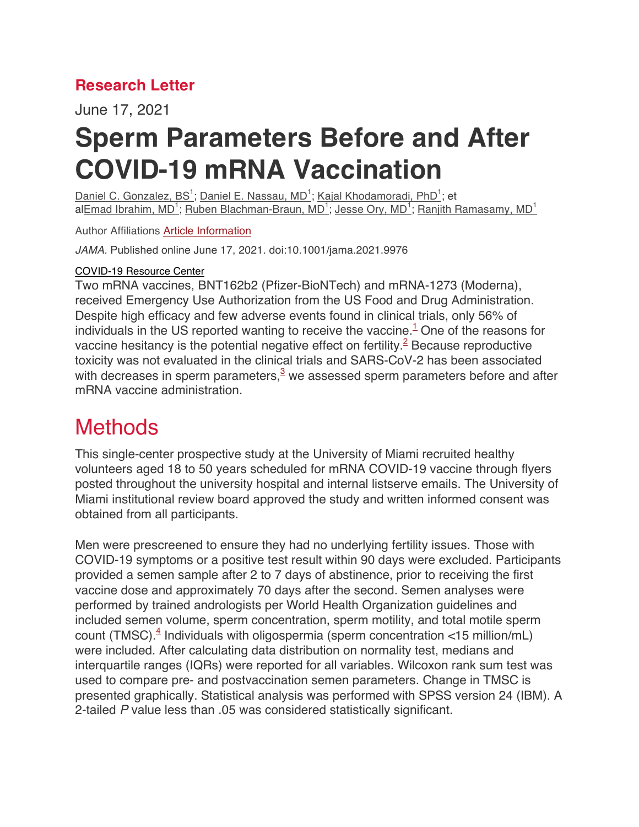#### **Research Letter**

June 17, 2021

# **Sperm Parameters Before and After COVID-19 mRNA Vaccination**

Daniel C. Gonzalez, BS<sup>1</sup>; Daniel E. Nassau, MD<sup>1</sup>; Kajal Khodamoradi, PhD<sup>1</sup>; et al<u>Emad Ibrahim, MD<sup>1</sup>; Ruben Blachman-Braun, MD<sup>1</sup>; Jesse Ory, MD<sup>1</sup>; Ranjith Ramasamy, MD<sup>1</sup></u>

Author Affiliations Article Information

*JAMA.* Published online June 17, 2021. doi:10.1001/jama.2021.9976

#### COVID-19 Resource Center

Two mRNA vaccines, BNT162b2 (Pfizer-BioNTech) and mRNA-1273 (Moderna), received Emergency Use Authorization from the US Food and Drug Administration. Despite high efficacy and few adverse events found in clinical trials, only 56% of individuals in the US reported wanting to receive the vaccine.<sup>1</sup> One of the reasons for vaccine hesitancy is the potential negative effect on fertility.<sup>2</sup> Because reproductive toxicity was not evaluated in the clinical trials and SARS-CoV-2 has been associated with decreases in sperm parameters,  $3$  we assessed sperm parameters before and after mRNA vaccine administration.

## **Methods**

This single-center prospective study at the University of Miami recruited healthy volunteers aged 18 to 50 years scheduled for mRNA COVID-19 vaccine through flyers posted throughout the university hospital and internal listserve emails. The University of Miami institutional review board approved the study and written informed consent was obtained from all participants.

Men were prescreened to ensure they had no underlying fertility issues. Those with COVID-19 symptoms or a positive test result within 90 days were excluded. Participants provided a semen sample after 2 to 7 days of abstinence, prior to receiving the first vaccine dose and approximately 70 days after the second. Semen analyses were performed by trained andrologists per World Health Organization guidelines and included semen volume, sperm concentration, sperm motility, and total motile sperm count (TMSC).<sup>4</sup> Individuals with oligospermia (sperm concentration  $\lt 15$  million/mL) were included. After calculating data distribution on normality test, medians and interquartile ranges (IQRs) were reported for all variables. Wilcoxon rank sum test was used to compare pre- and postvaccination semen parameters. Change in TMSC is presented graphically. Statistical analysis was performed with SPSS version 24 (IBM). A 2-tailed *P* value less than .05 was considered statistically significant.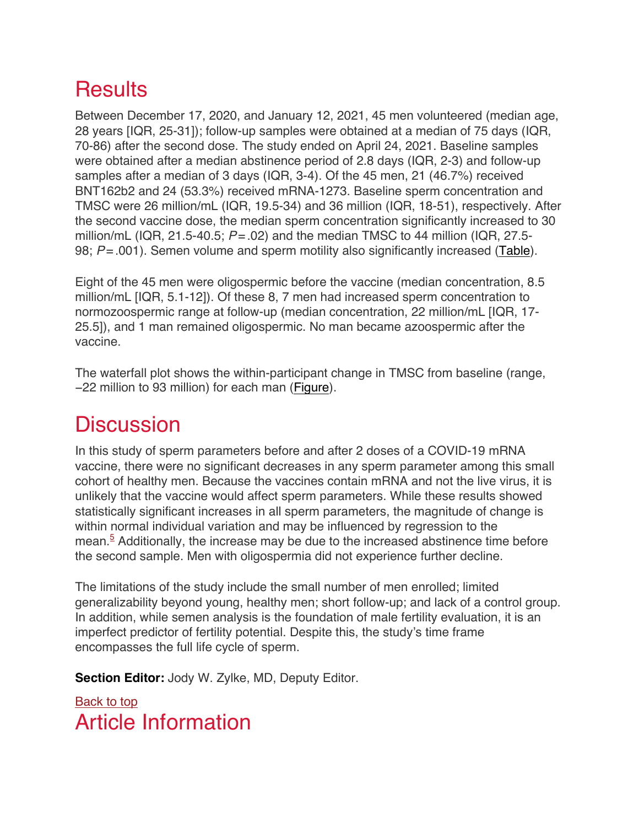## **Results**

Between December 17, 2020, and January 12, 2021, 45 men volunteered (median age, 28 years [IQR, 25-31]); follow-up samples were obtained at a median of 75 days (IQR, 70-86) after the second dose. The study ended on April 24, 2021. Baseline samples were obtained after a median abstinence period of 2.8 days (IQR, 2-3) and follow-up samples after a median of 3 days (IQR, 3-4). Of the 45 men, 21 (46.7%) received BNT162b2 and 24 (53.3%) received mRNA-1273. Baseline sperm concentration and TMSC were 26 million/mL (IQR, 19.5-34) and 36 million (IQR, 18-51), respectively. After the second vaccine dose, the median sperm concentration significantly increased to 30 million/mL (IQR, 21.5-40.5; *P*=.02) and the median TMSC to 44 million (IQR, 27.5- 98;  $P = .001$ ). Semen volume and sperm motility also significantly increased (Table).

Eight of the 45 men were oligospermic before the vaccine (median concentration, 8.5 million/mL [IQR, 5.1-12]). Of these 8, 7 men had increased sperm concentration to normozoospermic range at follow-up (median concentration, 22 million/mL [IQR, 17- 25.5]), and 1 man remained oligospermic. No man became azoospermic after the vaccine.

The waterfall plot shows the within-participant change in TMSC from baseline (range, −22 million to 93 million) for each man (Figure).

## **Discussion**

In this study of sperm parameters before and after 2 doses of a COVID-19 mRNA vaccine, there were no significant decreases in any sperm parameter among this small cohort of healthy men. Because the vaccines contain mRNA and not the live virus, it is unlikely that the vaccine would affect sperm parameters. While these results showed statistically significant increases in all sperm parameters, the magnitude of change is within normal individual variation and may be influenced by regression to the mean. $5$  Additionally, the increase may be due to the increased abstinence time before the second sample. Men with oligospermia did not experience further decline.

The limitations of the study include the small number of men enrolled; limited generalizability beyond young, healthy men; short follow-up; and lack of a control group. In addition, while semen analysis is the foundation of male fertility evaluation, it is an imperfect predictor of fertility potential. Despite this, the study's time frame encompasses the full life cycle of sperm.

**Section Editor:** Jody W. Zylke, MD, Deputy Editor.

#### Back to top Article Information